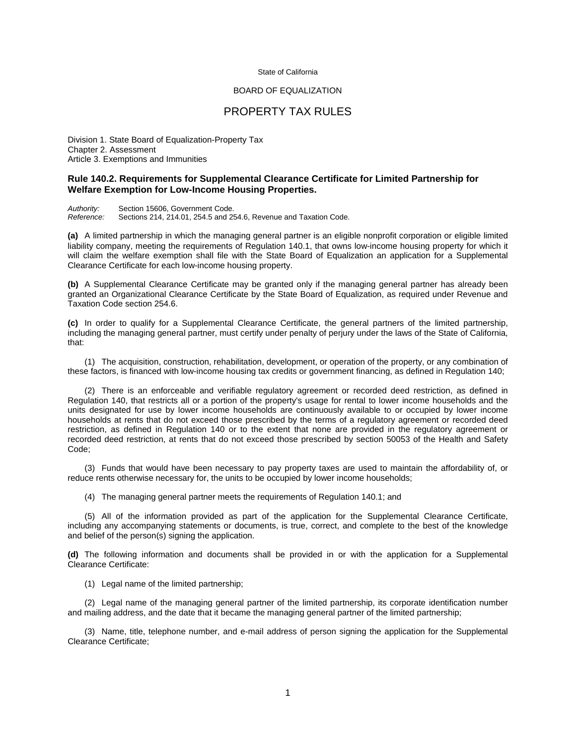#### State of California

#### BOARD OF EQUALIZATION

# PROPERTY TAX RULES

Division 1. State Board of Equalization-Property Tax Chapter 2. Assessment Article 3. Exemptions and Immunities

### **Rule 140.2. Requirements for Supplemental Clearance Certificate for Limited Partnership for Welfare Exemption for Low-Income Housing Properties.**

*Authority:* Section 15606, Government Code. *Reference:* Sections 214, 214.01, 254.5 and 254.6, Revenue and Taxation Code.

**(a)** A limited partnership in which the managing general partner is an eligible nonprofit corporation or eligible limited liability company, meeting the requirements of Regulation 140.1, that owns low-income housing property for which it will claim the welfare exemption shall file with the State Board of Equalization an application for a Supplemental Clearance Certificate for each low-income housing property.

**(b)** A Supplemental Clearance Certificate may be granted only if the managing general partner has already been granted an Organizational Clearance Certificate by the State Board of Equalization, as required under Revenue and Taxation Code section 254.6.

**(c)** In order to qualify for a Supplemental Clearance Certificate, the general partners of the limited partnership, including the managing general partner, must certify under penalty of perjury under the laws of the State of California, that:

 (1) The acquisition, construction, rehabilitation, development, or operation of the property, or any combination of these factors, is financed with low-income housing tax credits or government financing, as defined in Regulation 140;

 (2) There is an enforceable and verifiable regulatory agreement or recorded deed restriction, as defined in Regulation 140, that restricts all or a portion of the property's usage for rental to lower income households and the units designated for use by lower income households are continuously available to or occupied by lower income households at rents that do not exceed those prescribed by the terms of a regulatory agreement or recorded deed restriction, as defined in Regulation 140 or to the extent that none are provided in the regulatory agreement or recorded deed restriction, at rents that do not exceed those prescribed by section 50053 of the Health and Safety Code;

 (3) Funds that would have been necessary to pay property taxes are used to maintain the affordability of, or reduce rents otherwise necessary for, the units to be occupied by lower income households;

(4) The managing general partner meets the requirements of Regulation 140.1; and

 (5) All of the information provided as part of the application for the Supplemental Clearance Certificate, including any accompanying statements or documents, is true, correct, and complete to the best of the knowledge and belief of the person(s) signing the application.

**(d)** The following information and documents shall be provided in or with the application for a Supplemental Clearance Certificate:

(1) Legal name of the limited partnership;

 (2) Legal name of the managing general partner of the limited partnership, its corporate identification number and mailing address, and the date that it became the managing general partner of the limited partnership;

 (3) Name, title, telephone number, and e-mail address of person signing the application for the Supplemental Clearance Certificate;